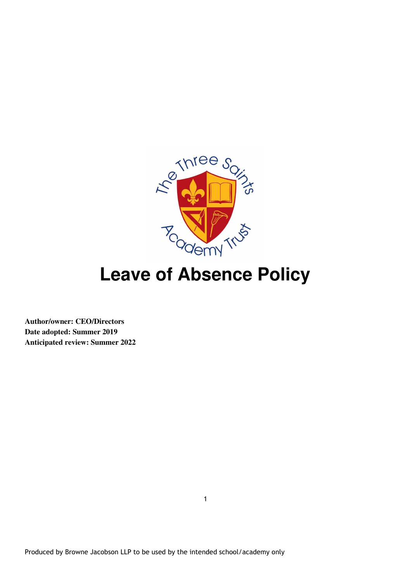

# **Leave of Absence Policy**

**Author/owner: CEO/Directors Date adopted: Summer 2019 Anticipated review: Summer 2022**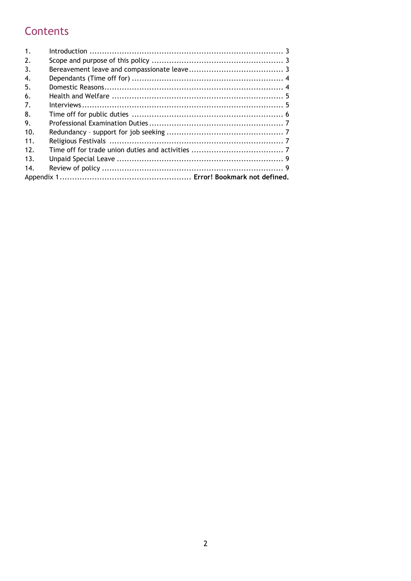# Contents

| 1.  |  |
|-----|--|
| 2.  |  |
| 3.  |  |
| 4.  |  |
| 5.  |  |
| 6.  |  |
| 7.  |  |
| 8.  |  |
| 9.  |  |
| 10. |  |
| 11. |  |
| 12. |  |
| 13. |  |
| 14. |  |
|     |  |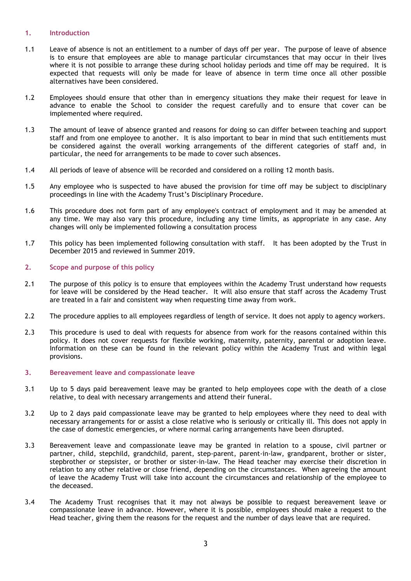# 1. Introduction

- 1.1 Leave of absence is not an entitlement to a number of days off per year. The purpose of leave of absence is to ensure that employees are able to manage particular circumstances that may occur in their lives where it is not possible to arrange these during school holiday periods and time off may be required. It is expected that requests will only be made for leave of absence in term time once all other possible alternatives have been considered.
- 1.2 Employees should ensure that other than in emergency situations they make their request for leave in advance to enable the School to consider the request carefully and to ensure that cover can be implemented where required.
- 1.3 The amount of leave of absence granted and reasons for doing so can differ between teaching and support staff and from one employee to another. It is also important to bear in mind that such entitlements must be considered against the overall working arrangements of the different categories of staff and, in particular, the need for arrangements to be made to cover such absences.
- 1.4 All periods of leave of absence will be recorded and considered on a rolling 12 month basis.
- 1.5 Any employee who is suspected to have abused the provision for time off may be subject to disciplinary proceedings in line with the Academy Trust's Disciplinary Procedure.
- 1.6 This procedure does not form part of any employee's contract of employment and it may be amended at any time. We may also vary this procedure, including any time limits, as appropriate in any case. Any changes will only be implemented following a consultation process
- 1.7 This policy has been implemented following consultation with staff. It has been adopted by the Trust in December 2015 and reviewed in Summer 2019.

# 2. Scope and purpose of this policy

- 2.1 The purpose of this policy is to ensure that employees within the Academy Trust understand how requests for leave will be considered by the Head teacher. It will also ensure that staff across the Academy Trust are treated in a fair and consistent way when requesting time away from work.
- 2.2 The procedure applies to all employees regardless of length of service. It does not apply to agency workers.
- 2.3 This procedure is used to deal with requests for absence from work for the reasons contained within this policy. It does not cover requests for flexible working, maternity, paternity, parental or adoption leave. Information on these can be found in the relevant policy within the Academy Trust and within legal provisions.

#### 3. Bereavement leave and compassionate leave

- 3.1 Up to 5 days paid bereavement leave may be granted to help employees cope with the death of a close relative, to deal with necessary arrangements and attend their funeral.
- 3.2 Up to 2 days paid compassionate leave may be granted to help employees where they need to deal with necessary arrangements for or assist a close relative who is seriously or critically ill. This does not apply in the case of domestic emergencies, or where normal caring arrangements have been disrupted.
- 3.3 Bereavement leave and compassionate leave may be granted in relation to a spouse, civil partner or partner, child, stepchild, grandchild, parent, step-parent, parent-in-law, grandparent, brother or sister, stepbrother or stepsister, or brother or sister-in-law. The Head teacher may exercise their discretion in relation to any other relative or close friend, depending on the circumstances. When agreeing the amount of leave the Academy Trust will take into account the circumstances and relationship of the employee to the deceased.
- 3.4 The Academy Trust recognises that it may not always be possible to request bereavement leave or compassionate leave in advance. However, where it is possible, employees should make a request to the Head teacher, giving them the reasons for the request and the number of days leave that are required.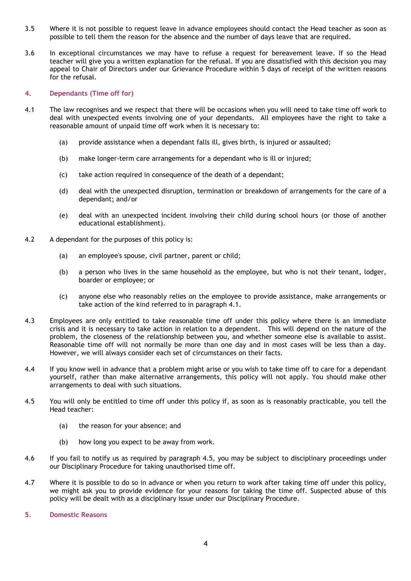- 3.5 Where it is not possible to request leave in advance employees should contact the Head teacher as soon as possible to tell them the reason for the absence and the number of days leave that are required.
- 3.6 In exceptional circumstances we may have to refuse a request for bereavement leave. If so the Head teacher will give you a written explanation for the refusal. If you are dissatisfied with this decision you may appeal to Chair of Directors under our Grievance Procedure within 5 days of receipt of the written reasons for the refusal.

# 4. Dependants (Time off for)

- 4.1 The law recognises and we respect that there will be occasions when you will need to take time off work to deal with unexpected events involving one of your dependants. All employees have the right to take a reasonable amount of unpaid time off work when it is necessary to:
	- (a) provide assistance when a dependant falls ill, gives birth, is injured or assaulted;
	- (b) make longer-term care arrangements for a dependant who is ill or injured;
	- (c) take action required in consequence of the death of a dependant;
	- (d) deal with the unexpected disruption, termination or breakdown of arrangements for the care of a dependant; and/or
	- (e) deal with an unexpected incident involving their child during school hours (or those of another educational establishment).
- 4.2 A dependant for the purposes of this policy is:
	- (a) an employee's spouse, civil partner, parent or child;
	- (b) a person who lives in the same household as the employee, but who is not their tenant, lodger, boarder or employee; or
	- (c) anyone else who reasonably relies on the employee to provide assistance, make arrangements or take action of the kind referred to in paragraph 4.1.
- 4.3 Employees are only entitled to take reasonable time off under this policy where there is an immediate crisis and it is necessary to take action in relation to a dependent. This will depend on the nature of the problem, the closeness of the relationship between you, and whether someone else is available to assist. Reasonable time off will not normally be more than one day and in most cases will be less than a day. However, we will always consider each set of circumstances on their facts.
- 4.4 If you know well in advance that a problem might arise or you wish to take time off to care for a dependant yourself, rather than make alternative arrangements, this policy will not apply. You should make other arrangements to deal with such situations.
- 4.5 You will only be entitled to time off under this policy if, as soon as is reasonably practicable, you tell the Head teacher:
	- (a) the reason for your absence; and
	- (b) how long you expect to be away from work.
- 4.6 If you fail to notify us as required by paragraph 4.5, you may be subject to disciplinary proceedings under our Disciplinary Procedure for taking unauthorised time off.
- 4.7 Where it is possible to do so in advance or when you return to work after taking time off under this policy, we might ask you to provide evidence for your reasons for taking the time off. Suspected abuse of this policy will be dealt with as a disciplinary issue under our Disciplinary Procedure.
- 5. Domestic Reasons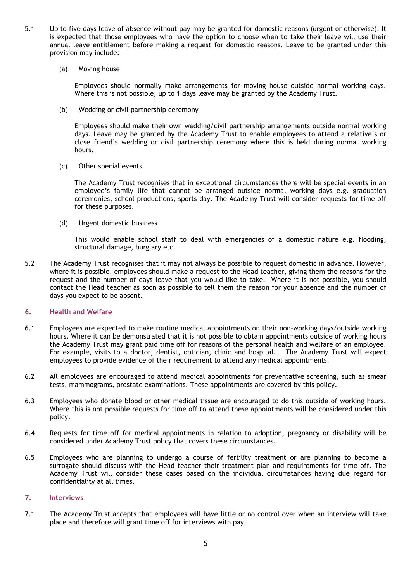- 5.1 Up to five days leave of absence without pay may be granted for domestic reasons (urgent or otherwise). It is expected that those employees who have the option to choose when to take their leave will use their annual leave entitlement before making a request for domestic reasons. Leave to be granted under this provision may include:
	- (a) Moving house

Employees should normally make arrangements for moving house outside normal working days. Where this is not possible, up to 1 days leave may be granted by the Academy Trust.

(b) Wedding or civil partnership ceremony

Employees should make their own wedding/civil partnership arrangements outside normal working days. Leave may be granted by the Academy Trust to enable employees to attend a relative's or close friend's wedding or civil partnership ceremony where this is held during normal working hours.

(c) Other special events

The Academy Trust recognises that in exceptional circumstances there will be special events in an employee's family life that cannot be arranged outside normal working days e.g. graduation ceremonies, school productions, sports day. The Academy Trust will consider requests for time off for these purposes.

(d) Urgent domestic business

This would enable school staff to deal with emergencies of a domestic nature e.g. flooding, structural damage, burglary etc.

5.2 The Academy Trust recognises that it may not always be possible to request domestic in advance. However, where it is possible, employees should make a request to the Head teacher, giving them the reasons for the request and the number of days leave that you would like to take. Where it is not possible, you should contact the Head teacher as soon as possible to tell them the reason for your absence and the number of days you expect to be absent.

# 6. Health and Welfare

- 6.1 Employees are expected to make routine medical appointments on their non-working days/outside working hours. Where it can be demonstrated that it is not possible to obtain appointments outside of working hours the Academy Trust may grant paid time off for reasons of the personal health and welfare of an employee. For example, visits to a doctor, dentist, optician, clinic and hospital. The Academy Trust will expect employees to provide evidence of their requirement to attend any medical appointments.
- 6.2 All employees are encouraged to attend medical appointments for preventative screening, such as smear tests, mammograms, prostate examinations. These appointments are covered by this policy.
- 6.3 Employees who donate blood or other medical tissue are encouraged to do this outside of working hours. Where this is not possible requests for time off to attend these appointments will be considered under this policy.
- 6.4 Requests for time off for medical appointments in relation to adoption, pregnancy or disability will be considered under Academy Trust policy that covers these circumstances.
- 6.5 Employees who are planning to undergo a course of fertility treatment or are planning to become a surrogate should discuss with the Head teacher their treatment plan and requirements for time off. The Academy Trust will consider these cases based on the individual circumstances having due regard for confidentiality at all times.

#### 7. Interviews

7.1 The Academy Trust accepts that employees will have little or no control over when an interview will take place and therefore will grant time off for interviews with pay.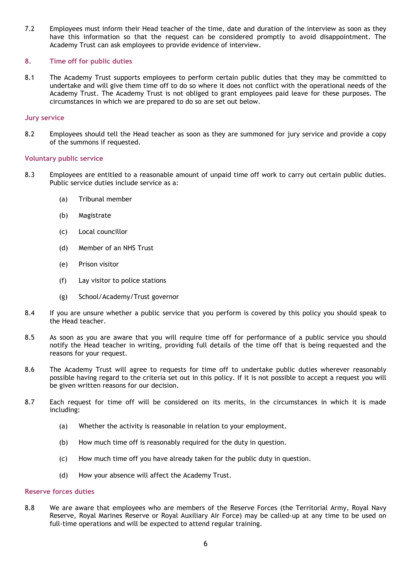7.2 Employees must inform their Head teacher of the time, date and duration of the interview as soon as they have this information so that the request can be considered promptly to avoid disappointment. The Academy Trust can ask employees to provide evidence of interview.

# 8. Time off for public duties

8.1 The Academy Trust supports employees to perform certain public duties that they may be committed to undertake and will give them time off to do so where it does not conflict with the operational needs of the Academy Trust. The Academy Trust is not obliged to grant employees paid leave for these purposes. The circumstances in which we are prepared to do so are set out below.

#### Jury service

8.2 Employees should tell the Head teacher as soon as they are summoned for jury service and provide a copy of the summons if requested.

#### Voluntary public service

- 8.3 Employees are entitled to a reasonable amount of unpaid time off work to carry out certain public duties. Public service duties include service as a:
	- (a) Tribunal member
	- (b) Magistrate
	- (c) Local councillor
	- (d) Member of an NHS Trust
	- (e) Prison visitor
	- (f) Lay visitor to police stations
	- (g) School/Academy/Trust governor
- 8.4 If you are unsure whether a public service that you perform is covered by this policy you should speak to the Head teacher.
- 8.5 As soon as you are aware that you will require time off for performance of a public service you should notify the Head teacher in writing, providing full details of the time off that is being requested and the reasons for your request.
- 8.6 The Academy Trust will agree to requests for time off to undertake public duties wherever reasonably possible having regard to the criteria set out in this policy. If it is not possible to accept a request you will be given written reasons for our decision.
- 8.7 Each request for time off will be considered on its merits, in the circumstances in which it is made including:
	- (a) Whether the activity is reasonable in relation to your employment.
	- (b) How much time off is reasonably required for the duty in question.
	- (c) How much time off you have already taken for the public duty in question.
	- (d) How your absence will affect the Academy Trust.

#### Reserve forces duties

8.8 We are aware that employees who are members of the Reserve Forces (the Territorial Army, Royal Navy Reserve, Royal Marines Reserve or Royal Auxiliary Air Force) may be called-up at any time to be used on full-time operations and will be expected to attend regular training.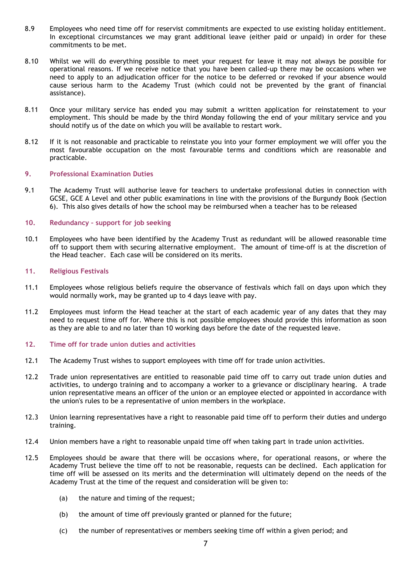- 8.9 Employees who need time off for reservist commitments are expected to use existing holiday entitlement. In exceptional circumstances we may grant additional leave (either paid or unpaid) in order for these commitments to be met.
- 8.10 Whilst we will do everything possible to meet your request for leave it may not always be possible for operational reasons. If we receive notice that you have been called-up there may be occasions when we need to apply to an adjudication officer for the notice to be deferred or revoked if your absence would cause serious harm to the Academy Trust (which could not be prevented by the grant of financial assistance).
- 8.11 Once your military service has ended you may submit a written application for reinstatement to your employment. This should be made by the third Monday following the end of your military service and you should notify us of the date on which you will be available to restart work.
- 8.12 If it is not reasonable and practicable to reinstate you into your former employment we will offer you the most favourable occupation on the most favourable terms and conditions which are reasonable and practicable.

#### 9. Professional Examination Duties

9.1 The Academy Trust will authorise leave for teachers to undertake professional duties in connection with GCSE, GCE A Level and other public examinations in line with the provisions of the Burgundy Book (Section 6). This also gives details of how the school may be reimbursed when a teacher has to be released

# 10. Redundancy – support for job seeking

10.1 Employees who have been identified by the Academy Trust as redundant will be allowed reasonable time off to support them with securing alternative employment. The amount of time-off is at the discretion of the Head teacher. Each case will be considered on its merits.

#### 11. Religious Festivals

- 11.1 Employees whose religious beliefs require the observance of festivals which fall on days upon which they would normally work, may be granted up to 4 days leave with pay.
- 11.2 Employees must inform the Head teacher at the start of each academic year of any dates that they may need to request time off for. Where this is not possible employees should provide this information as soon as they are able to and no later than 10 working days before the date of the requested leave.
- 12. Time off for trade union duties and activities
- 12.1 The Academy Trust wishes to support employees with time off for trade union activities.
- 12.2 Trade union representatives are entitled to reasonable paid time off to carry out trade union duties and activities, to undergo training and to accompany a worker to a grievance or disciplinary hearing. A trade union representative means an officer of the union or an employee elected or appointed in accordance with the union's rules to be a representative of union members in the workplace.
- 12.3 Union learning representatives have a right to reasonable paid time off to perform their duties and undergo training.
- 12.4 Union members have a right to reasonable unpaid time off when taking part in trade union activities.
- 12.5 Employees should be aware that there will be occasions where, for operational reasons, or where the Academy Trust believe the time off to not be reasonable, requests can be declined. Each application for time off will be assessed on its merits and the determination will ultimately depend on the needs of the Academy Trust at the time of the request and consideration will be given to:
	- (a) the nature and timing of the request:
	- (b) the amount of time off previously granted or planned for the future;
	- (c) the number of representatives or members seeking time off within a given period; and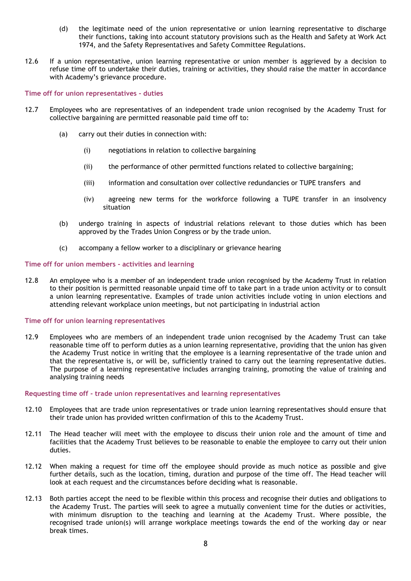- (d) the legitimate need of the union representative or union learning representative to discharge their functions, taking into account statutory provisions such as the Health and Safety at Work Act 1974, and the Safety Representatives and Safety Committee Regulations.
- 12.6 If a union representative, union learning representative or union member is aggrieved by a decision to refuse time off to undertake their duties, training or activities, they should raise the matter in accordance with Academy's grievance procedure.

#### Time off for union representatives - duties

- 12.7 Employees who are representatives of an independent trade union recognised by the Academy Trust for collective bargaining are permitted reasonable paid time off to:
	- (a) carry out their duties in connection with:
		- (i) negotiations in relation to collective bargaining
		- (ii) the performance of other permitted functions related to collective bargaining;
		- (iii) information and consultation over collective redundancies or TUPE transfers and
		- (iv) agreeing new terms for the workforce following a TUPE transfer in an insolvency situation
	- (b) undergo training in aspects of industrial relations relevant to those duties which has been approved by the Trades Union Congress or by the trade union.
	- (c) accompany a fellow worker to a disciplinary or grievance hearing

#### Time off for union members - activities and learning

12.8 An employee who is a member of an independent trade union recognised by the Academy Trust in relation to their position is permitted reasonable unpaid time off to take part in a trade union activity or to consult a union learning representative. Examples of trade union activities include voting in union elections and attending relevant workplace union meetings, but not participating in industrial action

#### Time off for union learning representatives

12.9 Employees who are members of an independent trade union recognised by the Academy Trust can take reasonable time off to perform duties as a union learning representative, providing that the union has given the Academy Trust notice in writing that the employee is a learning representative of the trade union and that the representative is, or will be, sufficiently trained to carry out the learning representative duties. The purpose of a learning representative includes arranging training, promoting the value of training and analysing training needs

#### Requesting time off - trade union representatives and learning representatives

- 12.10 Employees that are trade union representatives or trade union learning representatives should ensure that their trade union has provided written confirmation of this to the Academy Trust.
- 12.11 The Head teacher will meet with the employee to discuss their union role and the amount of time and facilities that the Academy Trust believes to be reasonable to enable the employee to carry out their union duties.
- 12.12 When making a request for time off the employee should provide as much notice as possible and give further details, such as the location, timing, duration and purpose of the time off. The Head teacher will look at each request and the circumstances before deciding what is reasonable.
- 12.13 Both parties accept the need to be flexible within this process and recognise their duties and obligations to the Academy Trust. The parties will seek to agree a mutually convenient time for the duties or activities, with minimum disruption to the teaching and learning at the Academy Trust. Where possible, the recognised trade union(s) will arrange workplace meetings towards the end of the working day or near break times.